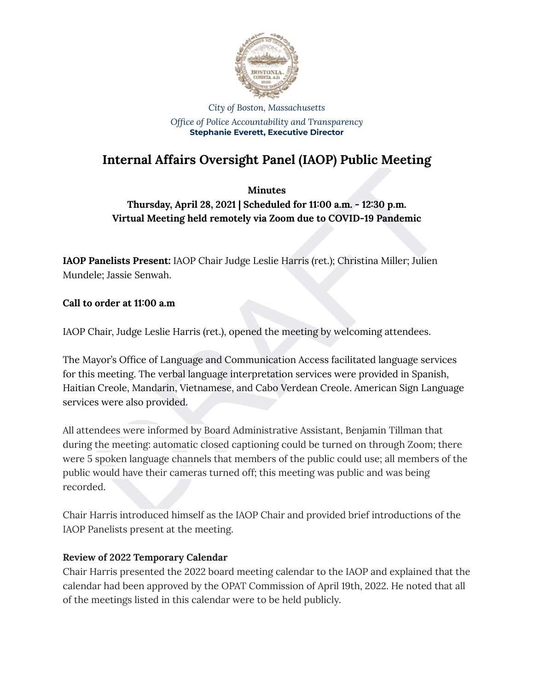

#### *City of Boston, Massachusetts Office of Police Accountability and Transparency* **Stephanie Everett, Executive Director**

# **Internal Affairs Oversight Panel (IAOP) Public Meeting**

# **Minutes**

**Thursday, April 28, 2021 | Scheduled for 11:00 a.m. - 12:30 p.m. Virtual Meeting held remotely via Zoom due to COVID-19 Pandemic**

**IAOP Panelists Present:** IAOP Chair Judge Leslie Harris (ret.); Christina Miller; Julien Mundele; Jassie Senwah.

## **Call to order at 11:00 a.m**

IAOP Chair, Judge Leslie Harris (ret.), opened the meeting by welcoming attendees.

The Mayor's Office of Language and Communication Access facilitated language services for this meeting. The verbal language interpretation services were provided in Spanish, Haitian Creole, Mandarin, Vietnamese, and Cabo Verdean Creole. American Sign Language services were also provided.

Minutes<br>
Minutes<br>
Thursday, April 28, 2021 | Scheduled for 11:00 a.m. - 12:30 p.m.<br>
Virtual Meeting held remotely via Zoom due to COVID-19 Pandemic<br>
Panelists Present: IAOP Chair Judge Leslie Harris (ret.); Christina Mille All attendees were informed by Board Administrative Assistant, Benjamin Tillman that during the meeting: automatic closed captioning could be turned on through Zoom; there were 5 spoken language channels that members of the public could use; all members of the public would have their cameras turned off; this meeting was public and was being recorded.

Chair Harris introduced himself as the IAOP Chair and provided brief introductions of the IAOP Panelists present at the meeting.

## **Review of 2022 Temporary Calendar**

Chair Harris presented the 2022 board meeting calendar to the IAOP and explained that the calendar had been approved by the OPAT Commission of April 19th, 2022. He noted that all of the meetings listed in this calendar were to be held publicly.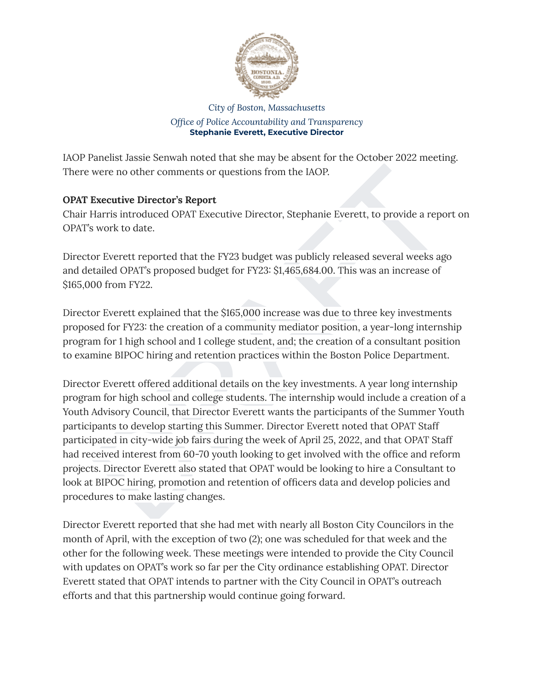

#### *City of Boston, Massachusetts Office of Police Accountability and Transparency* **Stephanie Everett, Executive Director**

IAOP Panelist Jassie Senwah noted that she may be absent for the October 2022 meeting. There were no other comments or questions from the IAOP.

# **OPAT Executive Director's Report**

Chair Harris introduced OPAT Executive Director, Stephanie Everett, to provide a report on OPAT's work to date.

Director Everett reported that the FY23 budget was publicly released several weeks ago and detailed OPAT's proposed budget for FY23: \$1,465,684.00. This was an increase of \$165,000 from FY22.

Director Everett explained that the \$165,000 increase was due to three key investments proposed for FY23: the creation of a community mediator position, a year-long internship program for 1 high school and 1 college student, and; the creation of a consultant position to examine BIPOC hiring and retention practices within the Boston Police Department.

were no other comments or questions from the IAOP.<br> **Executive Director's Report**<br>
Harris introduced OPAT Executive Director, Stephanie Everett, to provide a report on<br>
swork to date.<br>
or Everett reported that the FY23 bud Director Everett offered additional details on the key investments. A year long internship program for high school and college students. The internship would include a creation of a Youth Advisory Council, that Director Everett wants the participants of the Summer Youth participants to develop starting this Summer. Director Everett noted that OPAT Staff participated in city-wide job fairs during the week of April 25, 2022, and that OPAT Staff had received interest from 60-70 youth looking to get involved with the office and reform projects. Director Everett also stated that OPAT would be looking to hire a Consultant to look at BIPOC hiring, promotion and retention of officers data and develop policies and procedures to make lasting changes.

Director Everett reported that she had met with nearly all Boston City Councilors in the month of April, with the exception of two (2); one was scheduled for that week and the other for the following week. These meetings were intended to provide the City Council with updates on OPAT's work so far per the City ordinance establishing OPAT. Director Everett stated that OPAT intends to partner with the City Council in OPAT's outreach efforts and that this partnership would continue going forward.